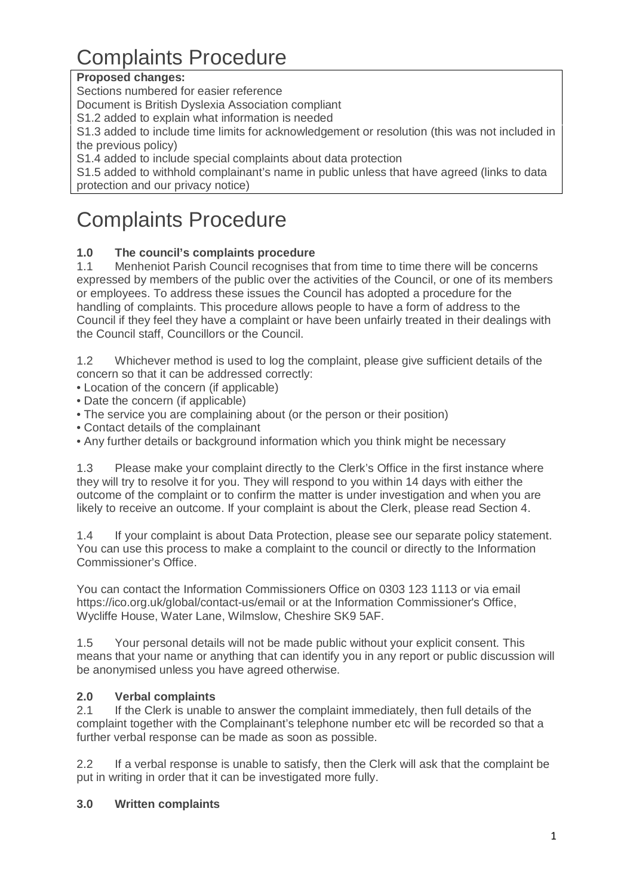# Complaints Procedure

## **Proposed changes:**

Sections numbered for easier reference

Document is British Dyslexia Association compliant

S1.2 added to explain what information is needed

S1.3 added to include time limits for acknowledgement or resolution (this was not included in the previous policy)

S1.4 added to include special complaints about data protection

S1.5 added to withhold complainant's name in public unless that have agreed (links to data protection and our privacy notice)

## Complaints Procedure

## **1.0 The council's complaints procedure**

1.1 Menheniot Parish Council recognises that from time to time there will be concerns expressed by members of the public over the activities of the Council, or one of its members or employees. To address these issues the Council has adopted a procedure for the handling of complaints. This procedure allows people to have a form of address to the Council if they feel they have a complaint or have been unfairly treated in their dealings with the Council staff, Councillors or the Council.

1.2 Whichever method is used to log the complaint, please give sufficient details of the concern so that it can be addressed correctly:

• Location of the concern (if applicable)

- Date the concern (if applicable)
- The service you are complaining about (or the person or their position)
- Contact details of the complainant
- Any further details or background information which you think might be necessary

1.3 Please make your complaint directly to the Clerk's Office in the first instance where they will try to resolve it for you. They will respond to you within 14 days with either the outcome of the complaint or to confirm the matter is under investigation and when you are likely to receive an outcome. If your complaint is about the Clerk, please read Section 4.

1.4 If your complaint is about Data Protection, please see our separate policy statement. You can use this process to make a complaint to the council or directly to the Information Commissioner's Office.

You can contact the Information Commissioners Office on 0303 123 1113 or via email https://ico.org.uk/global/contact-us/email or at the Information Commissioner's Office, Wycliffe House, Water Lane, Wilmslow, Cheshire SK9 5AF.

1.5 Your personal details will not be made public without your explicit consent. This means that your name or anything that can identify you in any report or public discussion will be anonymised unless you have agreed otherwise.

## **2.0 Verbal complaints**

2.1 If the Clerk is unable to answer the complaint immediately, then full details of the complaint together with the Complainant's telephone number etc will be recorded so that a further verbal response can be made as soon as possible.

2.2 If a verbal response is unable to satisfy, then the Clerk will ask that the complaint be put in writing in order that it can be investigated more fully.

#### **3.0 Written complaints**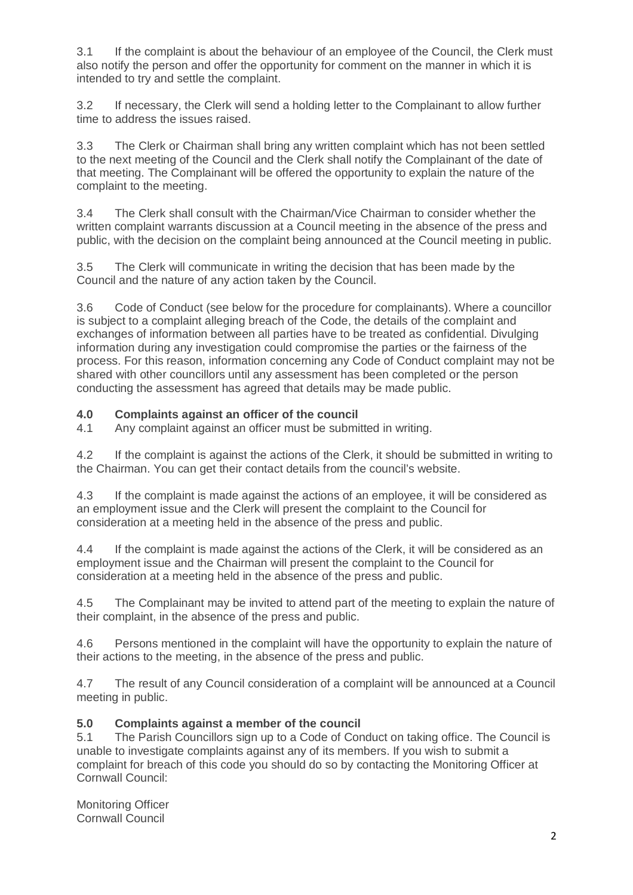3.1 If the complaint is about the behaviour of an employee of the Council, the Clerk must also notify the person and offer the opportunity for comment on the manner in which it is intended to try and settle the complaint.

3.2 If necessary, the Clerk will send a holding letter to the Complainant to allow further time to address the issues raised.

3.3 The Clerk or Chairman shall bring any written complaint which has not been settled to the next meeting of the Council and the Clerk shall notify the Complainant of the date of that meeting. The Complainant will be offered the opportunity to explain the nature of the complaint to the meeting.

3.4 The Clerk shall consult with the Chairman/Vice Chairman to consider whether the written complaint warrants discussion at a Council meeting in the absence of the press and public, with the decision on the complaint being announced at the Council meeting in public.

3.5 The Clerk will communicate in writing the decision that has been made by the Council and the nature of any action taken by the Council.

3.6 Code of Conduct (see below for the procedure for complainants). Where a councillor is subject to a complaint alleging breach of the Code, the details of the complaint and exchanges of information between all parties have to be treated as confidential. Divulging information during any investigation could compromise the parties or the fairness of the process. For this reason, information concerning any Code of Conduct complaint may not be shared with other councillors until any assessment has been completed or the person conducting the assessment has agreed that details may be made public.

#### **4.0 Complaints against an officer of the council**

4.1 Any complaint against an officer must be submitted in writing.

4.2 If the complaint is against the actions of the Clerk, it should be submitted in writing to the Chairman. You can get their contact details from the council's website.

4.3 If the complaint is made against the actions of an employee, it will be considered as an employment issue and the Clerk will present the complaint to the Council for consideration at a meeting held in the absence of the press and public.

4.4 If the complaint is made against the actions of the Clerk, it will be considered as an employment issue and the Chairman will present the complaint to the Council for consideration at a meeting held in the absence of the press and public.

4.5 The Complainant may be invited to attend part of the meeting to explain the nature of their complaint, in the absence of the press and public.

4.6 Persons mentioned in the complaint will have the opportunity to explain the nature of their actions to the meeting, in the absence of the press and public.

4.7 The result of any Council consideration of a complaint will be announced at a Council meeting in public.

#### **5.0 Complaints against a member of the council**

5.1 The Parish Councillors sign up to a Code of Conduct on taking office. The Council is unable to investigate complaints against any of its members. If you wish to submit a complaint for breach of this code you should do so by contacting the Monitoring Officer at Cornwall Council:

Monitoring Officer Cornwall Council